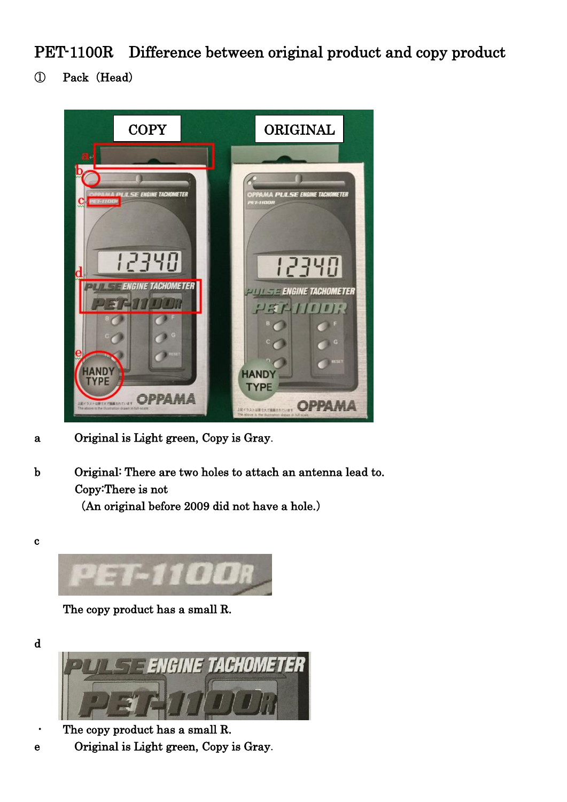PET-1100R Difference between original product and copy product

① Pack(Head)



- a Original is Light green, Copy is Gray.
- b Original: There are two holes to attach an antenna lead to. Copy:There is not

(An original before 2009 did not have a hole.)



The copy product has a small R.



- The copy product has a small R.
- e Original is Light green, Copy is Gray.

d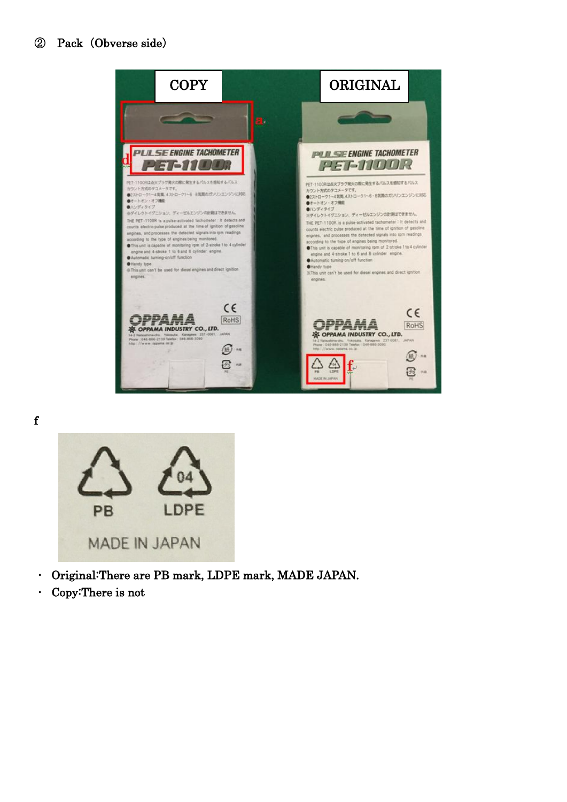



- ・ Original:There are PB mark, LDPE mark, MADE JAPAN.
- ・ Copy:There is not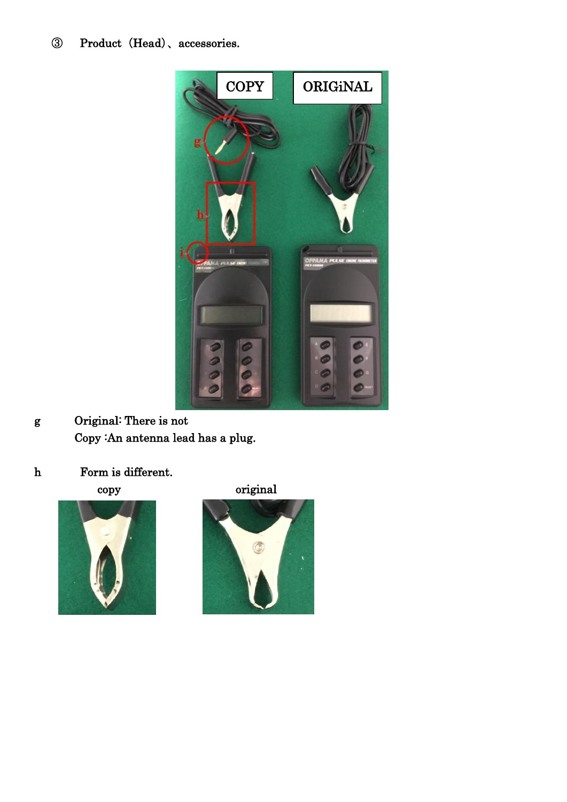## ③ Product(Head)、accessories.



- g Original: There is not Copy :An antenna lead has a plug.
- h Form is different.



copy original

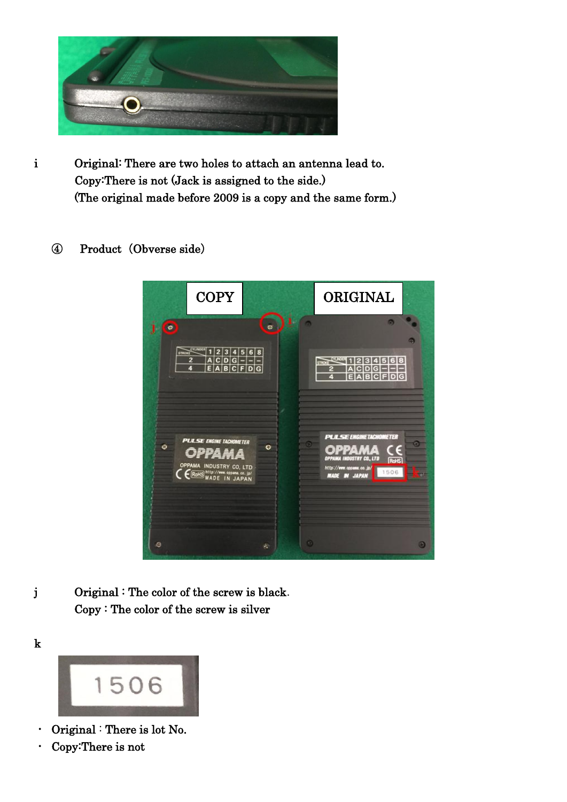

- i Original: There are two holes to attach an antenna lead to. Copy:There is not (Jack is assigned to the side.) (The original made before 2009 is a copy and the same form.)
	- ④ Product(Obverse side)



j Original : The color of the screw is black. Copy : The color of the screw is silver



- ・ Original : There is lot No.
- ・ Copy:There is not